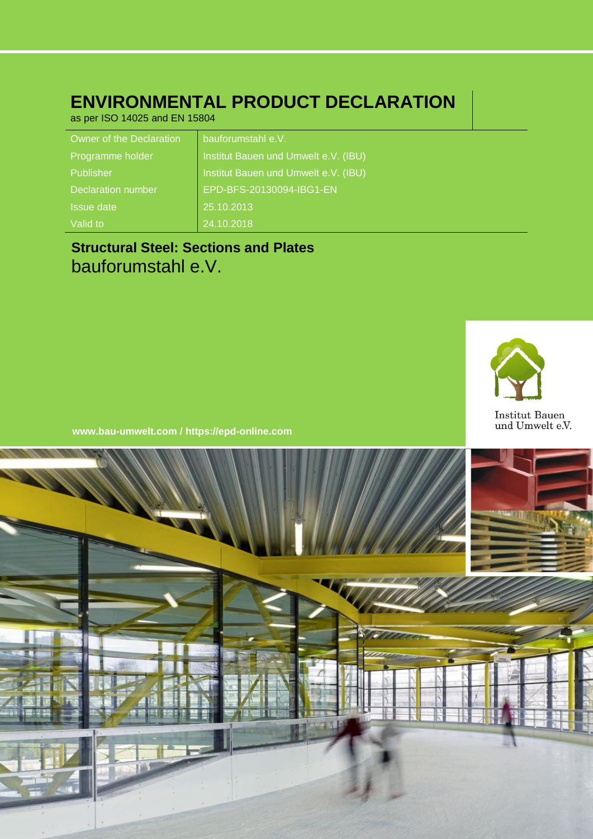## **ENVIRONMENTAL PRODUCT DECLARATION**

as per ISO 14025 and EN 15804

| Owner of the Declaration  | bauforumstahl e.V.                   |
|---------------------------|--------------------------------------|
| Programme holder          | Institut Bauen und Umwelt e.V. (IBU) |
| Publisher                 | Institut Bauen und Umwelt e.V. (IBU) |
| <b>Declaration number</b> | EPD-BFS-20130094-IBG1-EN             |
| <b>Issue date</b>         | 25.10.2013                           |
| Valid to                  | 24.10.2018                           |

## **Structural Steel: Sections and Plates** bauforumstahl e.V.



**www.bau-umwelt.com / https://epd-online.com**

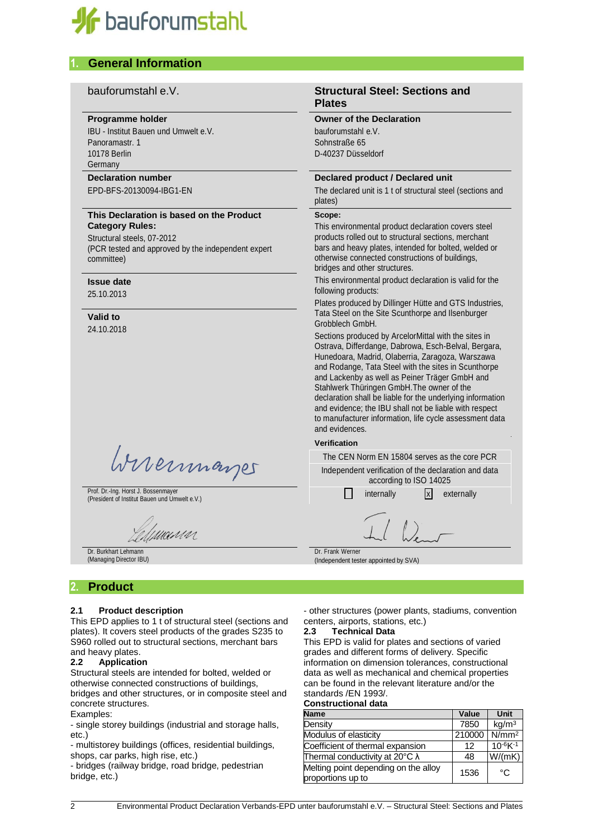

### **1. General Information**

#### **Programme holder**

IBU - Institut Bauen und Umwelt e.V. Panoramastr. 1 10178 Berlin Germany

#### **Declaration number**

EPD-BFS-20130094-IBG1-EN

#### **This Declaration is based on the Product Category Rules:**

Structural steels, 07-2012 (PCR tested and approved by the independent expert committee)

#### **Issue date**

25.10.2013

#### **Valid to** 24.10.2018

Wirermayer

Prof. Dr.-Ing. Horst J. Bossenmayer Prot. Dr.-Ing. Horst J. Bossenmayer<br>(President of Institut Bauen und Umwelt e.V.) internally internally internally x externally

UANN

Dr. Burkhart Lehmann (Managing Director IBU)

#### bauforumstahl e.V. **Structural Steel: Sections and Plates**

#### **Owner of the Declaration**

bauforumstahl e.V. Sohnstraße 65 D-40237 Düsseldorf

#### **Declared product / Declared unit**

The declared unit is 1 t of structural steel (sections and plates)

#### **Scope:**

This environmental product declaration covers steel products rolled out to structural sections, merchant bars and heavy plates, intended for bolted, welded or otherwise connected constructions of buildings, bridges and other structures.

This environmental product declaration is valid for the following products:

Plates produced by Dillinger Hütte and GTS Industries, Tata Steel on the Site Scunthorpe and Ilsenburger Grobblech GmbH.

Sections produced by ArcelorMittal with the sites in Ostrava, Differdange, Dabrowa, Esch-Belval, Bergara, Hunedoara, Madrid, Olaberria, Zaragoza, Warszawa and Rodange, Tata Steel with the sites in Scunthorpe and Lackenby as well as Peiner Träger GmbH and Stahlwerk Thüringen GmbH.The owner of the declaration shall be liable for the underlying information and evidence; the IBU shall not be liable with respect to manufacturer information, life cycle assessment data and evidences.

#### **Verification**

The CEN Norm EN 15804 serves as the core PCR Independent verification of the declaration and data according to ISO 14025

Dr. Frank Werner (Independent tester appointed by SVA)

#### **2. Product**

#### **2.1 Product description**

This EPD applies to 1 t of structural steel (sections and plates). It covers steel products of the grades S235 to S960 rolled out to structural sections, merchant bars and heavy plates.

#### **2.2 Application**

Structural steels are intended for bolted, welded or otherwise connected constructions of buildings, bridges and other structures, or in composite steel and concrete structures.

#### Examples:

- single storey buildings (industrial and storage halls, etc.)

- multistorey buildings (offices, residential buildings, shops, car parks, high rise, etc.)

- bridges (railway bridge, road bridge, pedestrian bridge, etc.)

- other structures (power plants, stadiums, convention centers, airports, stations, etc.)

#### **2.3 Technical Data**

This EPD is valid for plates and sections of varied grades and different forms of delivery. Specific information on dimension tolerances, constructional data as well as mechanical and chemical properties can be found in the relevant literature and/or the standards /EN 1993/.

#### **Constructional data**

| <b>Name</b>                                               | Value  | <b>Unit</b>                |
|-----------------------------------------------------------|--------|----------------------------|
| Density                                                   | 7850   | kg/m <sup>3</sup>          |
| Modulus of elasticity                                     | 210000 | $\overline{N}/\text{mm}^2$ |
| Coefficient of thermal expansion                          | 12     | $10^{-6}K^{-1}$            |
| Thermal conductivity at 20 $\degree$ C $\lambda$          | 48     | W/(mK)                     |
| Melting point depending on the alloy<br>proportions up to | 1536   | م∘                         |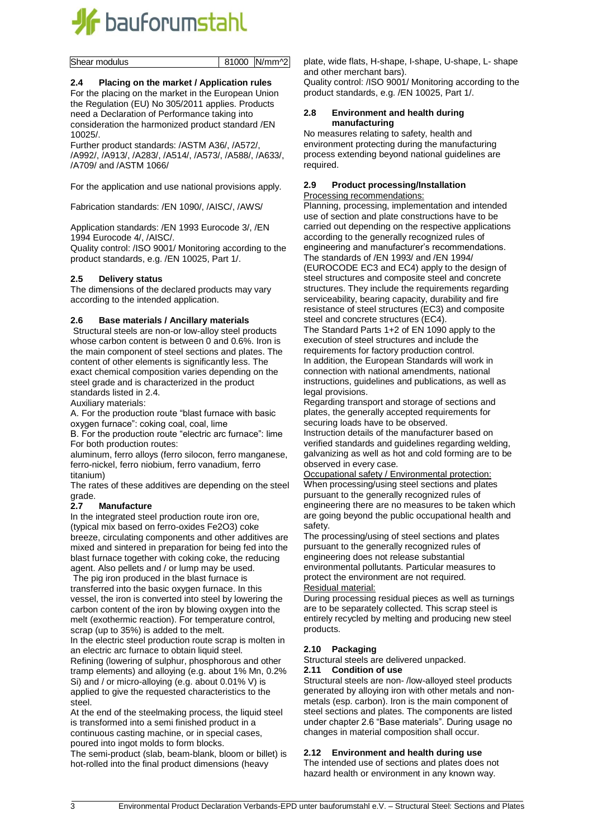

Shear modulus 81000 N/mm<sup>2</sup>

#### **2.4 Placing on the market / Application rules**

For the placing on the market in the European Union the Regulation (EU) No 305/2011 applies. Products need a Declaration of Performance taking into consideration the harmonized product standard /EN 10025/.

Further product standards: /ASTM A36/, /A572/, /A992/, /A913/, /A283/, /A514/, /A573/, /A588/, /A633/, /A709/ and /ASTM 1066/

For the application and use national provisions apply.

Fabrication standards: /EN 1090/, /AISC/, /AWS/

Application standards: /EN 1993 Eurocode 3/, /EN 1994 Eurocode 4/, /AISC/.

Quality control: /ISO 9001/ Monitoring according to the product standards, e.g. /EN 10025, Part 1/.

#### **2.5 Delivery status**

The dimensions of the declared products may vary according to the intended application.

#### **2.6 Base materials / Ancillary materials**

Structural steels are non-or low-alloy steel products whose carbon content is between 0 and 0.6%. Iron is the main component of steel sections and plates. The content of other elements is significantly less. The exact chemical composition varies depending on the steel grade and is characterized in the product standards listed in 2.4.

Auxiliary materials:

A. For the production route "blast furnace with basic oxygen furnace": coking coal, coal, lime

B. For the production route "electric arc furnace": lime For both production routes:

aluminum, ferro alloys (ferro silocon, ferro manganese, ferro-nickel, ferro niobium, ferro vanadium, ferro titanium)

The rates of these additives are depending on the steel grade.

#### **2.7 Manufacture**

In the integrated steel production route iron ore, (typical mix based on ferro-oxides Fe2O3) coke breeze, circulating components and other additives are mixed and sintered in preparation for being fed into the blast furnace together with coking coke, the reducing agent. Also pellets and / or lump may be used.

The pig iron produced in the blast furnace is transferred into the basic oxygen furnace. In this vessel, the iron is converted into steel by lowering the carbon content of the iron by blowing oxygen into the melt (exothermic reaction). For temperature control, scrap (up to 35%) is added to the melt.

In the electric steel production route scrap is molten in an electric arc furnace to obtain liquid steel. Refining (lowering of sulphur, phosphorous and other tramp elements) and alloying (e.g. about 1% Mn, 0.2% Si) and / or micro-alloying (e.g. about 0.01% V) is applied to give the requested characteristics to the steel.

At the end of the steelmaking process, the liquid steel is transformed into a semi finished product in a continuous casting machine, or in special cases, poured into ingot molds to form blocks.

The semi-product (slab, beam-blank, bloom or billet) is hot-rolled into the final product dimensions (heavy

plate, wide flats, H-shape, I-shape, U-shape, L- shape and other merchant bars).

Quality control: /ISO 9001/ Monitoring according to the product standards, e.g. /EN 10025, Part 1/.

#### **2.8 Environment and health during manufacturing**

No measures relating to safety, health and environment protecting during the manufacturing process extending beyond national guidelines are required.

#### **2.9 Product processing/Installation**

Processing recommendations:

Planning, processing, implementation and intended use of section and plate constructions have to be carried out depending on the respective applications according to the generally recognized rules of engineering and manufacturer's recommendations. The standards of /EN 1993/ and /EN 1994/ (EUROCODE EC3 and EC4) apply to the design of steel structures and composite steel and concrete structures. They include the requirements regarding serviceability, bearing capacity, durability and fire resistance of steel structures (EC3) and composite steel and concrete structures (EC4).

The Standard Parts 1+2 of EN 1090 apply to the execution of steel structures and include the requirements for factory production control. In addition, the European Standards will work in connection with national amendments, national instructions, guidelines and publications, as well as legal provisions.

Regarding transport and storage of sections and plates, the generally accepted requirements for securing loads have to be observed.

Instruction details of the manufacturer based on verified standards and guidelines regarding welding, galvanizing as well as hot and cold forming are to be observed in every case.

Occupational safety / Environmental protection: When processing/using steel sections and plates pursuant to the generally recognized rules of engineering there are no measures to be taken which are going beyond the public occupational health and safety.

The processing/using of steel sections and plates pursuant to the generally recognized rules of engineering does not release substantial environmental pollutants. Particular measures to protect the environment are not required. Residual material:

During processing residual pieces as well as turnings are to be separately collected. This scrap steel is entirely recycled by melting and producing new steel products.

#### **2.10 Packaging**

Structural steels are delivered unpacked.

#### **2.11 Condition of use**

Structural steels are non- /low-alloyed steel products generated by alloying iron with other metals and nonmetals (esp. carbon). Iron is the main component of steel sections and plates. The components are listed under chapter 2.6 "Base materials". During usage no changes in material composition shall occur.

#### **2.12 Environment and health during use**

The intended use of sections and plates does not hazard health or environment in any known way.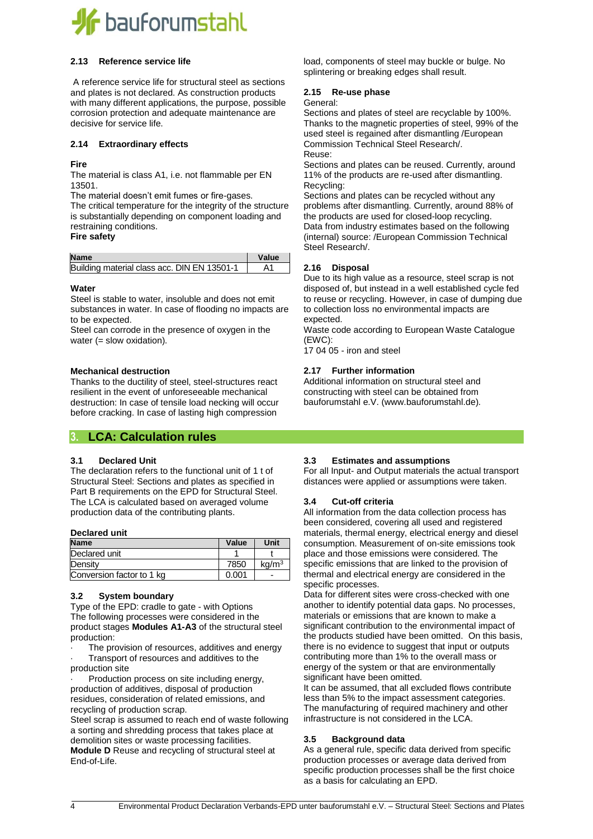

#### **2.13 Reference service life**

A reference service life for structural steel as sections and plates is not declared. As construction products with many different applications, the purpose, possible corrosion protection and adequate maintenance are decisive for service life.

#### **2.14 Extraordinary effects**

#### **Fire**

The material is class A1, i.e. not flammable per EN 13501.

The material doesn't emit fumes or fire-gases.

The critical temperature for the integrity of the structure is substantially depending on component loading and restraining conditions.

**Fire safety**

| <b>Name</b>                                 | Value |
|---------------------------------------------|-------|
| Building material class acc. DIN EN 13501-1 |       |

#### **Water**

Steel is stable to water, insoluble and does not emit substances in water. In case of flooding no impacts are to be expected.

Steel can corrode in the presence of oxygen in the water (= slow oxidation).

#### **Mechanical destruction**

Thanks to the ductility of steel, steel-structures react resilient in the event of unforeseeable mechanical destruction: In case of tensile load necking will occur before cracking. In case of lasting high compression

#### **3. LCA: Calculation rules**

#### **3.1 Declared Unit**

The declaration refers to the functional unit of 1 t of Structural Steel: Sections and plates as specified in Part B requirements on the EPD for Structural Steel. The LCA is calculated based on averaged volume production data of the contributing plants.

#### **Declared unit**

| <b>Name</b>               | Value | Unit              |
|---------------------------|-------|-------------------|
| Declared unit             |       |                   |
| Density                   | 7850  | kq/m <sup>3</sup> |
| Conversion factor to 1 kg | 0.001 |                   |

#### **3.2 System boundary**

Type of the EPD: cradle to gate - with Options The following processes were considered in the product stages **Modules A1-A3** of the structural steel production:

The provision of resources, additives and energy

- · Transport of resources and additives to the
- production site

Production process on site including energy, production of additives, disposal of production residues, consideration of related emissions, and recycling of production scrap.

Steel scrap is assumed to reach end of waste following a sorting and shredding process that takes place at demolition sites or waste processing facilities. **Module D** Reuse and recycling of structural steel at End-of-Life.

load, components of steel may buckle or bulge. No splintering or breaking edges shall result.

#### **2.15 Re-use phase**

#### General:

Sections and plates of steel are recyclable by 100%. Thanks to the magnetic properties of steel, 99% of the used steel is regained after dismantling /European Commission Technical Steel Research/. Reuse:

Sections and plates can be reused. Currently, around 11% of the products are re-used after dismantling. Recycling:

Sections and plates can be recycled without any problems after dismantling. Currently, around 88% of the products are used for closed-loop recycling. Data from industry estimates based on the following (internal) source: /European Commission Technical Steel Research/.

#### **2.16 Disposal**

Due to its high value as a resource, steel scrap is not disposed of, but instead in a well established cycle fed to reuse or recycling. However, in case of dumping due to collection loss no environmental impacts are expected.

Waste code according to European Waste Catalogue (EWC):

17 04 05 - iron and steel

#### **2.17 Further information**

Additional information on structural steel and constructing with steel can be obtained from bauforumstahl e.V. (www.bauforumstahl.de).

#### **3.3 Estimates and assumptions**

For all Input- and Output materials the actual transport distances were applied or assumptions were taken.

#### **3.4 Cut-off criteria**

All information from the data collection process has been considered, covering all used and registered materials, thermal energy, electrical energy and diesel consumption. Measurement of on-site emissions took place and those emissions were considered. The specific emissions that are linked to the provision of thermal and electrical energy are considered in the specific processes.

Data for different sites were cross-checked with one another to identify potential data gaps. No processes, materials or emissions that are known to make a significant contribution to the environmental impact of the products studied have been omitted. On this basis, there is no evidence to suggest that input or outputs contributing more than 1% to the overall mass or energy of the system or that are environmentally significant have been omitted.

It can be assumed, that all excluded flows contribute less than 5% to the impact assessment categories. The manufacturing of required machinery and other infrastructure is not considered in the LCA.

#### **3.5 Background data**

As a general rule, specific data derived from specific production processes or average data derived from specific production processes shall be the first choice as a basis for calculating an EPD.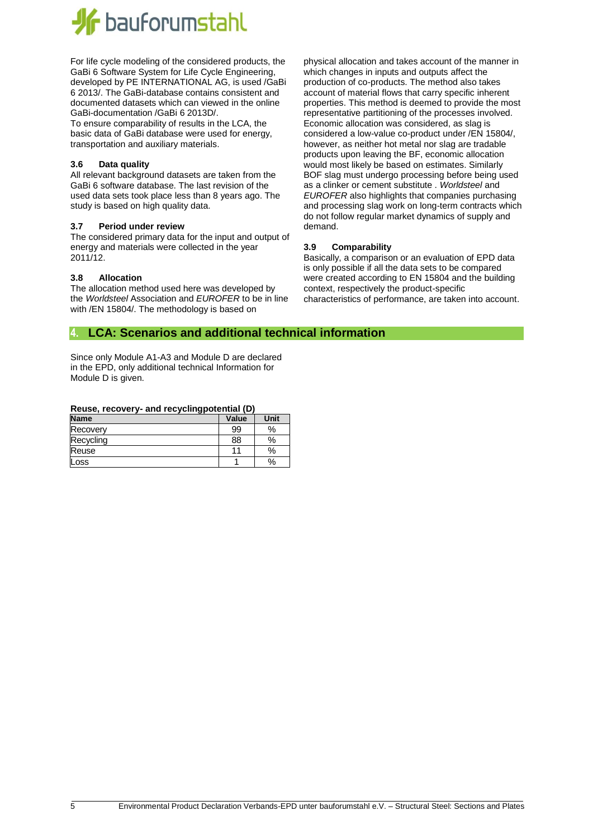

For life cycle modeling of the considered products, the GaBi 6 Software System for Life Cycle Engineering, developed by PE INTERNATIONAL AG, is used /GaBi 6 2013/. The GaBi-database contains consistent and documented datasets which can viewed in the online GaBi-documentation /GaBi 6 2013D/.

To ensure comparability of results in the LCA, the basic data of GaBi database were used for energy, transportation and auxiliary materials.

#### **3.6 Data quality**

All relevant background datasets are taken from the GaBi 6 software database. The last revision of the used data sets took place less than 8 years ago. The study is based on high quality data.

#### **3.7 Period under review**

The considered primary data for the input and output of energy and materials were collected in the year 2011/12.

#### **3.8 Allocation**

The allocation method used here was developed by the *Worldsteel* Association and *EUROFER* to be in line with /EN 15804/. The methodology is based on

physical allocation and takes account of the manner in which changes in inputs and outputs affect the production of co-products. The method also takes account of material flows that carry specific inherent properties. This method is deemed to provide the most representative partitioning of the processes involved. Economic allocation was considered, as slag is considered a low-value co-product under /EN 15804/, however, as neither hot metal nor slag are tradable products upon leaving the BF, economic allocation would most likely be based on estimates. Similarly BOF slag must undergo processing before being used as a clinker or cement substitute . *Worldsteel* and *EUROFER* also highlights that companies purchasing and processing slag work on long-term contracts which do not follow regular market dynamics of supply and demand.

#### **3.9 Comparability**

Basically, a comparison or an evaluation of EPD data is only possible if all the data sets to be compared were created according to EN 15804 and the building context, respectively the product-specific characteristics of performance, are taken into account.

#### **4. LCA: Scenarios and additional technical information**

Since only Module A1-A3 and Module D are declared in the EPD, only additional technical Information for Module D is given.

#### **Reuse, recovery- and recyclingpotential (D)**

| - -         |       |      |
|-------------|-------|------|
| <b>Name</b> | Value | Unit |
| Recovery    | 99    | %    |
| Recycling   | 88    | %    |
| Reuse       | 11    | %    |
| Loss        |       | %    |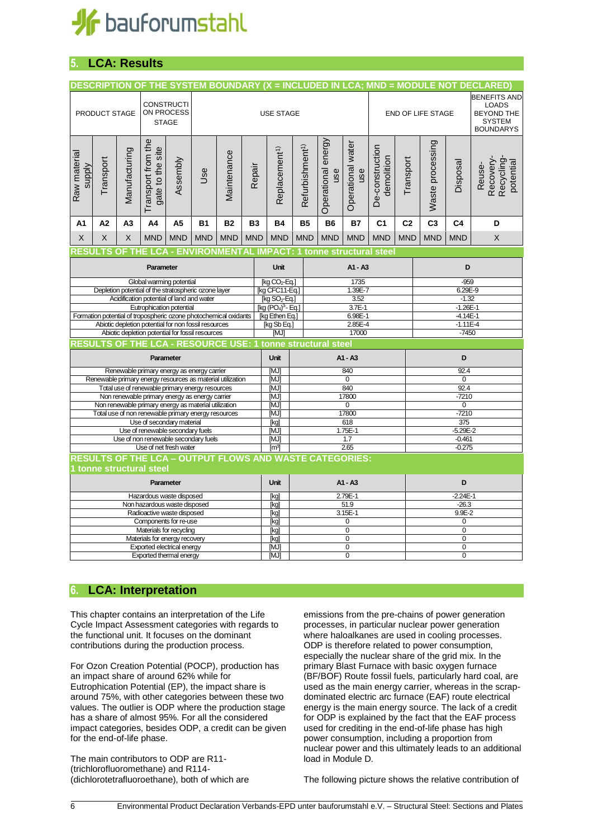

## **5. LCA: Results**

|                                                             | DESCRIPTION OF THE SYSTEM BOUNDARY (X = INCLUDED IN LCA; MND = MODULE NOT DECLARED)<br><b>CONSTRUCTI</b><br>ON PROCESS<br>PRODUCT STAGE<br><b>USE STAGE</b><br><b>STAGE</b> |               |                                                               |            |                                                                                                               |              |            | <b>END OF LIFE STAGE</b>                                                  |                                         |                           | <b>BENEFITS AND</b><br><b>LOADS</b><br><b>BEYOND THE</b><br><b>SYSTEM</b><br><b>BOUNDARYS</b> |                               |                |                         |                               |                                               |  |
|-------------------------------------------------------------|-----------------------------------------------------------------------------------------------------------------------------------------------------------------------------|---------------|---------------------------------------------------------------|------------|---------------------------------------------------------------------------------------------------------------|--------------|------------|---------------------------------------------------------------------------|-----------------------------------------|---------------------------|-----------------------------------------------------------------------------------------------|-------------------------------|----------------|-------------------------|-------------------------------|-----------------------------------------------|--|
| Raw material<br>Supply                                      | Transport                                                                                                                                                                   | Manufacturing | Transport from the<br>gate to the site                        | Assembly   | Jse                                                                                                           | Maintenance  | Repair     | Replacement <sup>1)</sup>                                                 | Refurbishment <sup>1)</sup>             | Operational energy<br>use | Operational water<br>use                                                                      | De-construction<br>demolition | Transport      | Waste processing        | Disposal                      | Recovery-<br>Recycling<br>potential<br>Reuse- |  |
| A1                                                          | A <sub>2</sub>                                                                                                                                                              | A3            | A4                                                            | A5         | <b>B1</b>                                                                                                     | <b>B2</b>    | <b>B3</b>  | <b>B4</b>                                                                 | <b>B5</b>                               | <b>B6</b>                 | <b>B7</b>                                                                                     | C <sub>1</sub>                | C <sub>2</sub> | C <sub>3</sub>          | C <sub>4</sub>                | D                                             |  |
| X                                                           | X                                                                                                                                                                           | X             | <b>MND</b>                                                    | <b>MND</b> | <b>MND</b>                                                                                                    | <b>MND</b>   | <b>MND</b> | <b>MND</b>                                                                | <b>MND</b>                              | <b>MND</b>                | <b>MND</b>                                                                                    | <b>MND</b>                    | <b>MND</b>     | <b>MND</b>              | <b>MND</b>                    | $\mathsf{X}$                                  |  |
|                                                             |                                                                                                                                                                             |               |                                                               |            |                                                                                                               |              |            | <b>ESULTS OF THE LCA - ENVIRONMENTAL IMPACT: 1 tonne structural steel</b> |                                         |                           |                                                                                               |                               |                |                         |                               |                                               |  |
|                                                             |                                                                                                                                                                             |               | Parameter                                                     |            |                                                                                                               |              |            | Unit                                                                      |                                         |                           | A1 - A3                                                                                       |                               |                | D                       |                               |                                               |  |
|                                                             |                                                                                                                                                                             |               | Global warming potential                                      |            |                                                                                                               |              |            | [kg $CO2$ -Eq.]                                                           |                                         |                           | 1735                                                                                          |                               |                | $-959$                  |                               |                                               |  |
|                                                             |                                                                                                                                                                             |               | Acidification potential of land and water                     |            | Depletion potential of the stratospheric ozone layer                                                          |              |            | [kg CFC11-Eq.]<br>1.39E-7<br>$[kg$ SO <sub>2</sub> -Eq.]<br>3.52          |                                         |                           |                                                                                               |                               |                | 6.29E-9<br>$-1.32$      |                               |                                               |  |
|                                                             |                                                                                                                                                                             |               | Eutrophication potential                                      |            |                                                                                                               |              |            | [kg (PO <sub>4</sub> ) <sup>3</sup> - Eq.]<br>3.7E-1                      |                                         |                           |                                                                                               |                               |                | $-1.26E - 1$            |                               |                                               |  |
|                                                             |                                                                                                                                                                             |               |                                                               |            | Formation potential of tropospheric ozone photochemical oxidants                                              |              |            | [kg Ethen Eq.]<br>6.98E-1                                                 |                                         |                           |                                                                                               |                               | $-4.14E-1$     |                         |                               |                                               |  |
|                                                             |                                                                                                                                                                             |               |                                                               |            | Abiotic depletion potential for non fossil resources<br>Abiotic depletion potential for fossil resources      |              |            |                                                                           | [kg Sb Eq.]<br>2.85E-4<br>[MJ]<br>17000 |                           |                                                                                               |                               |                | $-1.11E - 4$<br>$-7450$ |                               |                                               |  |
|                                                             |                                                                                                                                                                             |               |                                                               |            |                                                                                                               |              |            | RESULTS OF THE LCA - RESOURCE USE: 1 tonne structural steel               |                                         |                           |                                                                                               |                               |                |                         |                               |                                               |  |
|                                                             |                                                                                                                                                                             |               |                                                               |            |                                                                                                               |              |            |                                                                           |                                         |                           |                                                                                               |                               |                |                         |                               |                                               |  |
|                                                             |                                                                                                                                                                             |               | Parameter                                                     |            |                                                                                                               |              |            | Unit<br>A1 - A3                                                           |                                         |                           |                                                                                               |                               |                | D                       |                               |                                               |  |
|                                                             |                                                                                                                                                                             |               |                                                               |            | Renewable primary energy as energy carrier                                                                    |              |            | [MJ]                                                                      | 840                                     |                           |                                                                                               |                               |                | 92.4                    |                               |                                               |  |
|                                                             |                                                                                                                                                                             |               |                                                               |            | Renewable primary energy resources as material utilization<br>Total use of renewable primary energy resources |              |            | [MJ]<br>[MJ]                                                              | $\overline{0}$<br>840                   |                           |                                                                                               |                               |                | $\overline{0}$<br>92.4  |                               |                                               |  |
|                                                             |                                                                                                                                                                             |               |                                                               |            | Non renewable primary energy as energy carrier                                                                |              |            | [MJ]                                                                      | 17800                                   |                           |                                                                                               |                               |                | $-7210$                 |                               |                                               |  |
|                                                             |                                                                                                                                                                             |               |                                                               |            | Non renewable primary energy as material utilization                                                          |              |            | [MJ]                                                                      | 0                                       |                           |                                                                                               |                               |                | $\overline{0}$          |                               |                                               |  |
|                                                             |                                                                                                                                                                             |               |                                                               |            | Total use of non renewable primary energy resources                                                           |              |            | [MJ]                                                                      | 17800                                   |                           |                                                                                               |                               |                | $-7210$                 |                               |                                               |  |
|                                                             |                                                                                                                                                                             |               | Use of secondary material<br>Use of renewable secondary fuels |            |                                                                                                               |              |            | 618<br>[kg]<br>$1.75E-1$<br>[MJ]                                          |                                         |                           |                                                                                               |                               |                | 375<br>$-5.29E - 2$     |                               |                                               |  |
|                                                             |                                                                                                                                                                             |               |                                                               |            | Use of non renewable secondary fuels                                                                          |              |            | [MJ]                                                                      | 1.7                                     |                           |                                                                                               |                               |                | $-0.461$                |                               |                                               |  |
|                                                             |                                                                                                                                                                             |               | Use of net fresh water                                        |            |                                                                                                               |              |            | 2.65<br>$\lceil m^3 \rceil$                                               |                                         |                           |                                                                                               |                               |                | $-0.275$                |                               |                                               |  |
|                                                             |                                                                                                                                                                             |               |                                                               |            |                                                                                                               |              |            | <b>RESULTS OF THE LCA - OUTPUT FLOWS AND WASTE CATEGORIES:</b>            |                                         |                           |                                                                                               |                               |                |                         |                               |                                               |  |
|                                                             | tonne structural steel                                                                                                                                                      |               |                                                               |            |                                                                                                               |              |            |                                                                           |                                         |                           |                                                                                               |                               |                |                         |                               |                                               |  |
| Parameter                                                   |                                                                                                                                                                             |               |                                                               |            | Unit                                                                                                          | $A1 - A3$    |            |                                                                           |                                         | D                         |                                                                                               |                               |                |                         |                               |                                               |  |
| Hazardous waste disposed                                    |                                                                                                                                                                             |               |                                                               |            | [kg]                                                                                                          |              | 2.79E-1    |                                                                           |                                         |                           | $-2.24E - 1$                                                                                  |                               |                |                         |                               |                                               |  |
| Non hazardous waste disposed<br>Radioactive waste disposed  |                                                                                                                                                                             |               |                                                               |            |                                                                                                               | [kg]<br>[kg] |            | 51.9<br>$3.15E - 1$                                                       |                                         |                           | $-26.3$<br>$9.9E - 2$                                                                         |                               |                |                         |                               |                                               |  |
| Components for re-use                                       |                                                                                                                                                                             |               |                                                               |            | [kg]                                                                                                          |              |            | 0                                                                         |                                         |                           |                                                                                               | 0                             |                |                         |                               |                                               |  |
| Materials for recycling                                     |                                                                                                                                                                             |               |                                                               |            |                                                                                                               | [kg]         |            |                                                                           | $\overline{0}$                          |                           |                                                                                               |                               | $\overline{0}$ |                         |                               |                                               |  |
| Materials for energy recovery<br>Exported electrical energy |                                                                                                                                                                             |               |                                                               |            |                                                                                                               | [kg]         |            | $\mathbf 0$                                                               |                                         |                           | $\overline{0}$                                                                                |                               |                |                         |                               |                                               |  |
|                                                             |                                                                                                                                                                             |               |                                                               |            |                                                                                                               |              |            | [MJ]<br>[MJ]                                                              |                                         |                           | $\mathbf 0$<br>$\overline{0}$                                                                 |                               |                |                         | $\mathbf 0$<br>$\overline{0}$ |                                               |  |
| Exported thermal energy                                     |                                                                                                                                                                             |               |                                                               |            |                                                                                                               |              |            |                                                                           |                                         |                           |                                                                                               |                               |                |                         |                               |                                               |  |

### **6. LCA: Interpretation**

This chapter contains an interpretation of the Life Cycle Impact Assessment categories with regards to the functional unit. It focuses on the dominant contributions during the production process.

For Ozon Creation Potential (POCP), production has an impact share of around 62% while for Eutrophication Potential (EP), the impact share is around 75%, with other categories between these two values. The outlier is ODP where the production stage has a share of almost 95%. For all the considered impact categories, besides ODP, a credit can be given for the end-of-life phase.

The main contributors to ODP are R11- (trichlorofluoromethane) and R114- (dichlorotetrafluoroethane), both of which are

emissions from the pre-chains of power generation processes, in particular nuclear power generation where haloalkanes are used in cooling processes. ODP is therefore related to power consumption, especially the nuclear share of the grid mix. In the primary Blast Furnace with basic oxygen furnace (BF/BOF) Route fossil fuels, particularly hard coal, are used as the main energy carrier, whereas in the scrapdominated electric arc furnace (EAF) route electrical energy is the main energy source. The lack of a credit for ODP is explained by the fact that the EAF process used for crediting in the end-of-life phase has high power consumption, including a proportion from nuclear power and this ultimately leads to an additional load in Module D.

The following picture shows the relative contribution of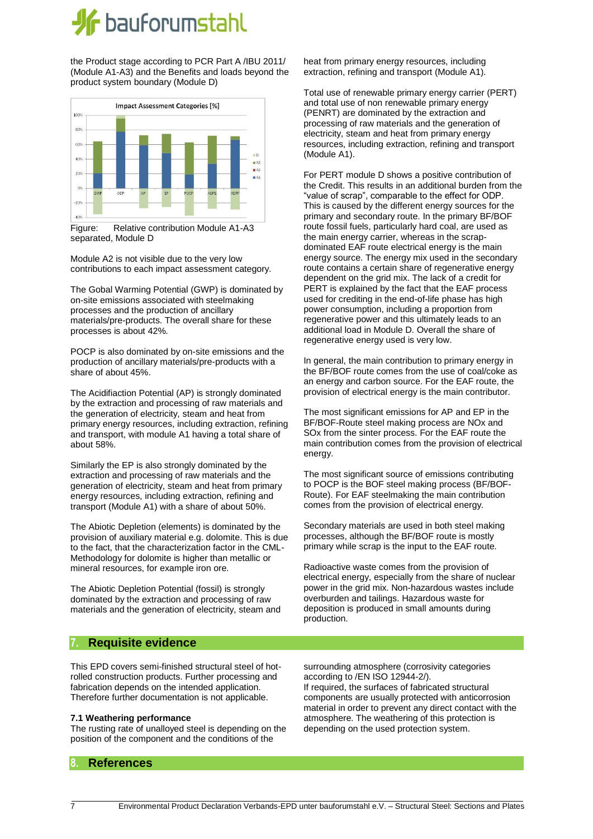## **If** bauforumstahl

the Product stage according to PCR Part A /IBU 2011/ (Module A1-A3) and the Benefits and loads beyond the product system boundary (Module D)





Module A2 is not visible due to the very low contributions to each impact assessment category.

The Gobal Warming Potential (GWP) is dominated by on-site emissions associated with steelmaking processes and the production of ancillary materials/pre-products. The overall share for these processes is about 42%.

POCP is also dominated by on-site emissions and the production of ancillary materials/pre-products with a share of about 45%.

The Acidifiaction Potential (AP) is strongly dominated by the extraction and processing of raw materials and the generation of electricity, steam and heat from primary energy resources, including extraction, refining and transport, with module A1 having a total share of about 58%.

Similarly the EP is also strongly dominated by the extraction and processing of raw materials and the generation of electricity, steam and heat from primary energy resources, including extraction, refining and transport (Module A1) with a share of about 50%.

The Abiotic Depletion (elements) is dominated by the provision of auxiliary material e.g. dolomite. This is due to the fact, that the characterization factor in the CML-Methodology for dolomite is higher than metallic or mineral resources, for example iron ore.

The Abiotic Depletion Potential (fossil) is strongly dominated by the extraction and processing of raw materials and the generation of electricity, steam and heat from primary energy resources, including extraction, refining and transport (Module A1).

Total use of renewable primary energy carrier (PERT) and total use of non renewable primary energy (PENRT) are dominated by the extraction and processing of raw materials and the generation of electricity, steam and heat from primary energy resources, including extraction, refining and transport (Module A1).

For PERT module D shows a positive contribution of the Credit. This results in an additional burden from the "value of scrap", comparable to the effect for ODP. This is caused by the different energy sources for the primary and secondary route. In the primary BF/BOF route fossil fuels, particularly hard coal, are used as the main energy carrier, whereas in the scrapdominated EAF route electrical energy is the main energy source. The energy mix used in the secondary route contains a certain share of regenerative energy dependent on the grid mix. The lack of a credit for PERT is explained by the fact that the EAF process used for crediting in the end-of-life phase has high power consumption, including a proportion from regenerative power and this ultimately leads to an additional load in Module D. Overall the share of regenerative energy used is very low.

In general, the main contribution to primary energy in the BF/BOF route comes from the use of coal/coke as an energy and carbon source. For the EAF route, the provision of electrical energy is the main contributor.

The most significant emissions for AP and EP in the BF/BOF-Route steel making process are NOx and SOx from the sinter process. For the EAF route the main contribution comes from the provision of electrical energy.

The most significant source of emissions contributing to POCP is the BOF steel making process (BF/BOF-Route). For EAF steelmaking the main contribution comes from the provision of electrical energy.

Secondary materials are used in both steel making processes, although the BF/BOF route is mostly primary while scrap is the input to the EAF route.

Radioactive waste comes from the provision of electrical energy, especially from the share of nuclear power in the grid mix. Non-hazardous wastes include overburden and tailings. Hazardous waste for deposition is produced in small amounts during production.

#### **7. Requisite evidence**

This EPD covers semi-finished structural steel of hotrolled construction products. Further processing and fabrication depends on the intended application. Therefore further documentation is not applicable.

#### **7.1 Weathering performance**

The rusting rate of unalloyed steel is depending on the position of the component and the conditions of the

surrounding atmosphere (corrosivity categories according to /EN ISO 12944-2/). If required, the surfaces of fabricated structural

components are usually protected with anticorrosion material in order to prevent any direct contact with the atmosphere. The weathering of this protection is depending on the used protection system.

#### **8. References**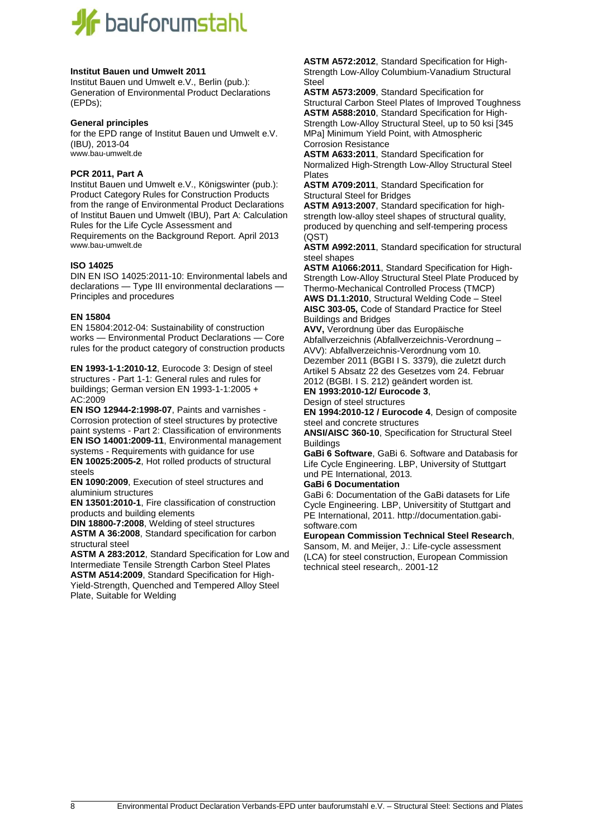# **If** bauforumstahl

#### **Institut Bauen und Umwelt 2011**

Institut Bauen und Umwelt e.V., Berlin (pub.): Generation of Environmental Product Declarations (EPDs);

#### **General principles**

for the EPD range of Institut Bauen und Umwelt e.V. (IBU), 2013-04 [www.bau-umwelt.de](http://www.bau-umwelt.de/)

#### **PCR 2011, Part A**

Institut Bauen und Umwelt e.V., Königswinter (pub.): Product Category Rules for Construction Products from the range of Environmental Product Declarations of Institut Bauen und Umwelt (IBU), Part A: Calculation Rules for the Life Cycle Assessment and Requirements on the Background Report. April 2013 [www.bau-umwelt.de](http://www.bau-umwelt.de/)

#### **ISO 14025**

DIN EN ISO 14025:2011-10: Environmental labels and declarations — Type III environmental declarations — Principles and procedures

#### **EN 15804**

EN 15804:2012-04: Sustainability of construction works — Environmental Product Declarations — Core rules for the product category of construction products

**EN 1993-1-1:2010-12**, Eurocode 3: Design of steel structures - Part 1-1: General rules and rules for buildings; German version EN 1993-1-1:2005 + AC:2009

**EN ISO 12944-2:1998-07**, Paints and varnishes - Corrosion protection of steel structures by protective paint systems - Part 2: Classification of environments **EN ISO 14001:2009-11**, Environmental management systems - Requirements with guidance for use **EN 10025:2005-2**, Hot rolled products of structural steels

**EN 1090:2009**, Execution of steel structures and aluminium structures

**EN 13501:2010-1**, Fire classification of construction products and building elements

**DIN 18800-7:2008**, Welding of steel structures **ASTM A 36:2008**, Standard specification for carbon structural steel

**ASTM A 283:2012**, Standard Specification for Low and Intermediate Tensile Strength Carbon Steel Plates **ASTM A514:2009**, Standard Specification for High-

Yield-Strength, Quenched and Tempered Alloy Steel Plate, Suitable for Welding

**ASTM A572:2012**, Standard Specification for High-Strength Low-Alloy Columbium-Vanadium Structural Steel

**ASTM A573:2009**, Standard Specification for Structural Carbon Steel Plates of Improved Toughness **ASTM A588:2010**, Standard Specification for High-Strength Low-Alloy Structural Steel, up to 50 ksi [345 MPa] Minimum Yield Point, with Atmospheric Corrosion Resistance

**ASTM A633:2011**, Standard Specification for Normalized High-Strength Low-Alloy Structural Steel Plates

**ASTM A709:2011**, Standard Specification for Structural Steel for Bridges

**ASTM A913:2007**, Standard specification for highstrength low-alloy steel shapes of structural quality, produced by quenching and self-tempering process (QST)

**ASTM A992:2011**, Standard specification for structural steel shapes

**ASTM A1066:2011**, Standard Specification for High-Strength Low-Alloy Structural Steel Plate Produced by Thermo-Mechanical Controlled Process (TMCP) **AWS D1.1:2010**, Structural Welding Code – Steel **AISC 303-05,** Code of Standard Practice for Steel Buildings and Bridges

**AVV,** Verordnung über das Europäische

Abfallverzeichnis (Abfallverzeichnis-Verordnung – AVV): Abfallverzeichnis-Verordnung vom 10. Dezember 2011 (BGBI I S. 3379), die zuletzt durch Artikel 5 Absatz 22 des Gesetzes vom 24. Februar

2012 (BGBI. I S. 212) geändert worden ist.

**EN 1993:2010-12/ Eurocode 3**, Design of steel structures

**EN 1994:2010-12 / Eurocode 4**, Design of composite steel and concrete structures

**ANSI/AISC 360-10**, Specification for Structural Steel Buildings

**GaBi 6 Software**, GaBi 6. Software and Databasis for Life Cycle Engineering. LBP, University of Stuttgart und PE International, 2013.

#### **GaBi 6 Documentation**

GaBi 6: Documentation of the GaBi datasets for Life Cycle Engineering. LBP, Universitity of Stuttgart and PE International, 2011. http://documentation.gabisoftware.com

**European Commission Technical Steel Research**,

Sansom, M. and Meijer, J.: Life-cycle assessment (LCA) for steel construction, European Commission technical steel research,. 2001-12